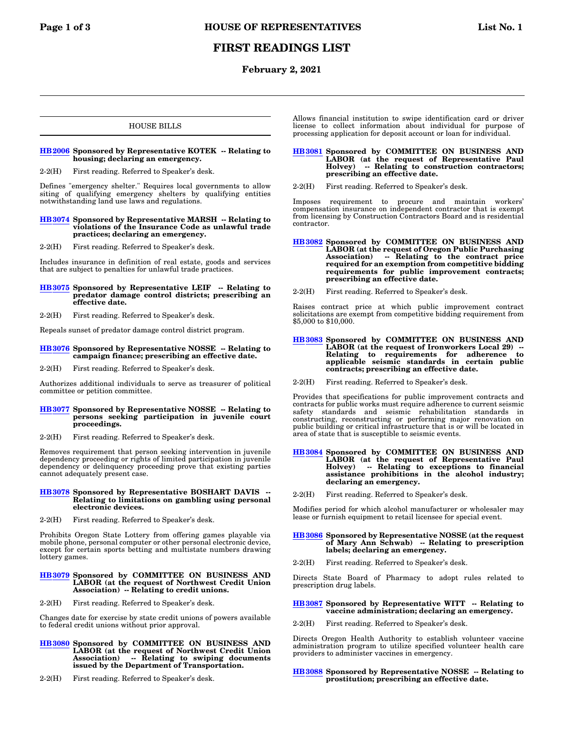# **FIRST READINGS LIST**

## **February 2, 2021**

## HOUSE BILLS

## **[HB2006](https://olis.oregonlegislature.gov/liz/2021R1/Measures/Overview/HB2006) Sponsored by Representative KOTEK -- Relating to housing; declaring an emergency.**

2-2(H) First reading. Referred to Speaker's desk.

Defines "emergency shelter." Requires local governments to allow siting of qualifying emergency shelters by qualifying entities notwithstanding land use laws and regulations.

## **[HB3074](https://olis.oregonlegislature.gov/liz/2021R1/Measures/Overview/HB3074) Sponsored by Representative MARSH -- Relating to violations of the Insurance Code as unlawful trade practices; declaring an emergency.**

2-2(H) First reading. Referred to Speaker's desk.

Includes insurance in definition of real estate, goods and services that are subject to penalties for unlawful trade practices.

## **[HB3075](https://olis.oregonlegislature.gov/liz/2021R1/Measures/Overview/HB3075) Sponsored by Representative LEIF -- Relating to predator damage control districts; prescribing an effective date.**

2-2(H) First reading. Referred to Speaker's desk.

Repeals sunset of predator damage control district program.

- **[HB3076](https://olis.oregonlegislature.gov/liz/2021R1/Measures/Overview/HB3076) Sponsored by Representative NOSSE -- Relating to campaign finance; prescribing an effective date.**
- 2-2(H) First reading. Referred to Speaker's desk.

Authorizes additional individuals to serve as treasurer of political committee or petition committee.

## **[HB3077](https://olis.oregonlegislature.gov/liz/2021R1/Measures/Overview/HB3077) Sponsored by Representative NOSSE -- Relating to persons seeking participation in juvenile court proceedings.**

2-2(H) First reading. Referred to Speaker's desk.

Removes requirement that person seeking intervention in juvenile dependency proceeding or rights of limited participation in juvenile dependency or delinquency proceeding prove that existing parties cannot adequately present case.

## **[HB3078](https://olis.oregonlegislature.gov/liz/2021R1/Measures/Overview/HB3078) Sponsored by Representative BOSHART DAVIS -- Relating to limitations on gambling using personal electronic devices.**

2-2(H) First reading. Referred to Speaker's desk.

Prohibits Oregon State Lottery from offering games playable via mobile phone, personal computer or other personal electronic device, except for certain sports betting and multistate numbers drawing lottery games.

## **[HB3079](https://olis.oregonlegislature.gov/liz/2021R1/Measures/Overview/HB3079) Sponsored by COMMITTEE ON BUSINESS AND LABOR (at the request of Northwest Credit Union Association) -- Relating to credit unions.**

2-2(H) First reading. Referred to Speaker's desk.

Changes date for exercise by state credit unions of powers available to federal credit unions without prior approval.

- **[HB3080](https://olis.oregonlegislature.gov/liz/2021R1/Measures/Overview/HB3080) Sponsored by COMMITTEE ON BUSINESS AND LABOR (at the request of Northwest Credit Union Association) -- Relating to swiping documents issued by the Department of Transportation.**
- 2-2(H) First reading. Referred to Speaker's desk.

Allows financial institution to swipe identification card or driver license to collect information about individual for purpose of processing application for deposit account or loan for individual.

## **[HB3081](https://olis.oregonlegislature.gov/liz/2021R1/Measures/Overview/HB3081) Sponsored by COMMITTEE ON BUSINESS AND LABOR (at the request of Representative Paul Holvey) -- Relating to construction contractors; prescribing an effective date.**

2-2(H) First reading. Referred to Speaker's desk.

Imposes requirement to procure and maintain workers' compensation insurance on independent contractor that is exempt from licensing by Construction Contractors Board and is residential contractor.

## **[HB3082](https://olis.oregonlegislature.gov/liz/2021R1/Measures/Overview/HB3082) Sponsored by COMMITTEE ON BUSINESS AND LABOR (at the request of Oregon Public Purchasing Association) -- Relating to the contract price required for an exemption from competitive bidding requirements for public improvement contracts; prescribing an effective date.**

2-2(H) First reading. Referred to Speaker's desk.

Raises contract price at which public improvement contract solicitations are exempt from competitive bidding requirement from \$5,000 to \$10,000.

## **[HB3083](https://olis.oregonlegislature.gov/liz/2021R1/Measures/Overview/HB3083) Sponsored by COMMITTEE ON BUSINESS AND LABOR (at the request of Ironworkers Local 29) -- Relating to requirements for adherence applicable seismic standards in certain public contracts; prescribing an effective date.**

2-2(H) First reading. Referred to Speaker's desk.

Provides that specifications for public improvement contracts and contracts for public works must require adherence to current seismic safety standards and seismic rehabilitation standards in constructing, reconstructing or performing major renovation on public building or critical infrastructure that is or will be located in area of state that is susceptible to seismic events.

#### **[HB3084](https://olis.oregonlegislature.gov/liz/2021R1/Measures/Overview/HB3084) Sponsored by COMMITTEE ON BUSINESS AND LABOR (at the request of Representative Paul Holvey) -- Relating to exceptions to financial assistance prohibitions in the alcohol industry; declaring an emergency.**

2-2(H) First reading. Referred to Speaker's desk.

Modifies period for which alcohol manufacturer or wholesaler may lease or furnish equipment to retail licensee for special event.

## **[HB3086](https://olis.oregonlegislature.gov/liz/2021R1/Measures/Overview/HB3086) Sponsored by Representative NOSSE (at the request of Mary Ann Schwab) -- Relating to prescription labels; declaring an emergency.**

2-2(H) First reading. Referred to Speaker's desk.

Directs State Board of Pharmacy to adopt rules related to prescription drug labels.

## **[HB3087](https://olis.oregonlegislature.gov/liz/2021R1/Measures/Overview/HB3087) Sponsored by Representative WITT -- Relating to vaccine administration; declaring an emergency.**

2-2(H) First reading. Referred to Speaker's desk.

Directs Oregon Health Authority to establish volunteer vaccine administration program to utilize specified volunteer health care providers to administer vaccines in emergency.

## **[HB3088](https://olis.oregonlegislature.gov/liz/2021R1/Measures/Overview/HB3088) Sponsored by Representative NOSSE -- Relating to prostitution; prescribing an effective date.**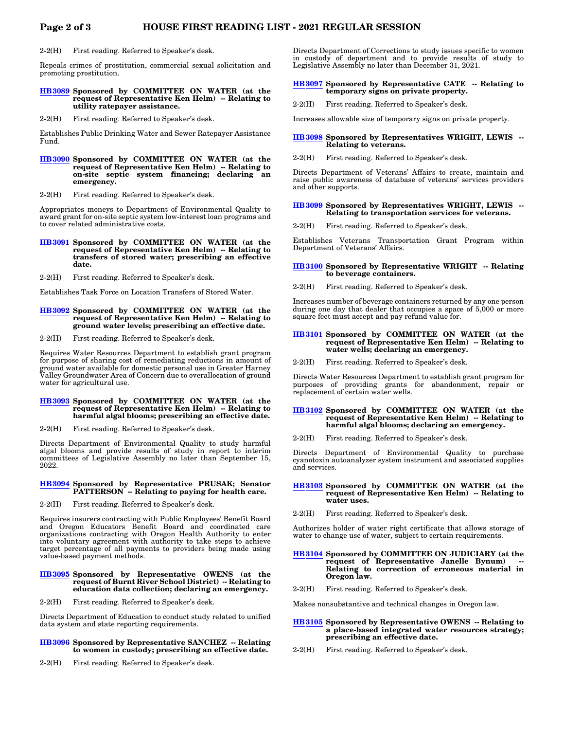2-2(H) First reading. Referred to Speaker's desk.

Repeals crimes of prostitution, commercial sexual solicitation and promoting prostitution.

## **[HB3089](https://olis.oregonlegislature.gov/liz/2021R1/Measures/Overview/HB3089) Sponsored by COMMITTEE ON WATER (at the request of Representative Ken Helm) -- Relating to utility ratepayer assistance.**

2-2(H) First reading. Referred to Speaker's desk.

Establishes Public Drinking Water and Sewer Ratepayer Assistance Fund.

## **[HB3090](https://olis.oregonlegislature.gov/liz/2021R1/Measures/Overview/HB3090) Sponsored by COMMITTEE ON WATER (at the request of Representative Ken Helm) -- Relating to on-site septic system financing; declaring an emergency.**

2-2(H) First reading. Referred to Speaker's desk.

Appropriates moneys to Department of Environmental Quality to award grant for on-site septic system low-interest loan programs and to cover related administrative costs.

**[HB3091](https://olis.oregonlegislature.gov/liz/2021R1/Measures/Overview/HB3091) Sponsored by COMMITTEE ON WATER (at the request of Representative Ken Helm) -- Relating to transfers of stored water; prescribing an effective date.**

2-2(H) First reading. Referred to Speaker's desk.

Establishes Task Force on Location Transfers of Stored Water.

## **[HB3092](https://olis.oregonlegislature.gov/liz/2021R1/Measures/Overview/HB3092) Sponsored by COMMITTEE ON WATER (at the request of Representative Ken Helm) -- Relating to ground water levels; prescribing an effective date.**

2-2(H) First reading. Referred to Speaker's desk.

Requires Water Resources Department to establish grant program for purpose of sharing cost of remediating reductions in amount of ground water available for domestic personal use in Greater Harney Valley Groundwater Area of Concern due to overallocation of ground water for agricultural use.

### **[HB3093](https://olis.oregonlegislature.gov/liz/2021R1/Measures/Overview/HB3093) Sponsored by COMMITTEE ON WATER (at the request of Representative Ken Helm) -- Relating to harmful algal blooms; prescribing an effective date.**

2-2(H) First reading. Referred to Speaker's desk.

Directs Department of Environmental Quality to study harmful algal blooms and provide results of study in report to interim committees of Legislative Assembly no later than September 15, 2022.

#### **[HB3094](https://olis.oregonlegislature.gov/liz/2021R1/Measures/Overview/HB3094) Sponsored by Representative PRUSAK; Senator PATTERSON -- Relating to paying for health care.**

2-2(H) First reading. Referred to Speaker's desk.

Requires insurers contracting with Public Employees' Benefit Board and Oregon Educators Benefit Board and coordinated care organizations contracting with Oregon Health Authority to enter into voluntary agreement with authority to take steps to achieve target percentage of all payments to providers being made using value-based payment methods.

#### **[HB3095](https://olis.oregonlegislature.gov/liz/2021R1/Measures/Overview/HB3095) Sponsored by Representative OWENS (at the request of Burnt River School District) -- Relating to education data collection; declaring an emergency.**

2-2(H) First reading. Referred to Speaker's desk.

Directs Department of Education to conduct study related to unified data system and state reporting requirements.

## **[HB3096](https://olis.oregonlegislature.gov/liz/2021R1/Measures/Overview/HB3096) Sponsored by Representative SANCHEZ -- Relating to women in custody; prescribing an effective date.**

2-2(H) First reading. Referred to Speaker's desk.

Directs Department of Corrections to study issues specific to women in custody of department and to provide results of study to Legislative Assembly no later than December 31, 2021.

## **[HB3097](https://olis.oregonlegislature.gov/liz/2021R1/Measures/Overview/HB3097) Sponsored by Representative CATE -- Relating to temporary signs on private property.**

2-2(H) First reading. Referred to Speaker's desk.

Increases allowable size of temporary signs on private property.

## **[HB3098](https://olis.oregonlegislature.gov/liz/2021R1/Measures/Overview/HB3098) Sponsored by Representatives WRIGHT, LEWIS -- Relating to veterans.**

2-2(H) First reading. Referred to Speaker's desk.

Directs Department of Veterans' Affairs to create, maintain and raise public awareness of database of veterans' services providers and other supports.

## **[HB3099](https://olis.oregonlegislature.gov/liz/2021R1/Measures/Overview/HB3099) Sponsored by Representatives WRIGHT, LEWIS -- Relating to transportation services for veterans.**

2-2(H) First reading. Referred to Speaker's desk.

Establishes Veterans Transportation Grant Program within Department of Veterans' Affairs.

### **[HB3100](https://olis.oregonlegislature.gov/liz/2021R1/Measures/Overview/HB3100) Sponsored by Representative WRIGHT -- Relating to beverage containers.**

2-2(H) First reading. Referred to Speaker's desk.

Increases number of beverage containers returned by any one person during one day that dealer that occupies a space of 5,000 or more square feet must accept and pay refund value for.

## **[HB3101](https://olis.oregonlegislature.gov/liz/2021R1/Measures/Overview/HB3101) Sponsored by COMMITTEE ON WATER (at the request of Representative Ken Helm) -- Relating to water wells; declaring an emergency.**

2-2(H) First reading. Referred to Speaker's desk.

Directs Water Resources Department to establish grant program for purposes of providing grants for abandonment, repair or replacement of certain water wells.

## **[HB3102](https://olis.oregonlegislature.gov/liz/2021R1/Measures/Overview/HB3102) Sponsored by COMMITTEE ON WATER (at the request of Representative Ken Helm) -- Relating to harmful algal blooms; declaring an emergency.**

2-2(H) First reading. Referred to Speaker's desk.

Directs Department of Environmental Quality to purchase cyanotoxin autoanalyzer system instrument and associated supplies and services.

## **[HB3103](https://olis.oregonlegislature.gov/liz/2021R1/Measures/Overview/HB3103) Sponsored by COMMITTEE ON WATER (at the request of Representative Ken Helm) -- Relating to water uses.**

2-2(H) First reading. Referred to Speaker's desk.

Authorizes holder of water right certificate that allows storage of water to change use of water, subject to certain requirements.

## **[HB3104](https://olis.oregonlegislature.gov/liz/2021R1/Measures/Overview/HB3104) Sponsored by COMMITTEE ON JUDICIARY (at the** request of Representative Janelle Bynum) **Relating to correction of erroneous material in Oregon law.**

2-2(H) First reading. Referred to Speaker's desk.

Makes nonsubstantive and technical changes in Oregon law.

### **[HB3105](https://olis.oregonlegislature.gov/liz/2021R1/Measures/Overview/HB3105) Sponsored by Representative OWENS -- Relating to a place-based integrated water resources strategy; prescribing an effective date.**

2-2(H) First reading. Referred to Speaker's desk.